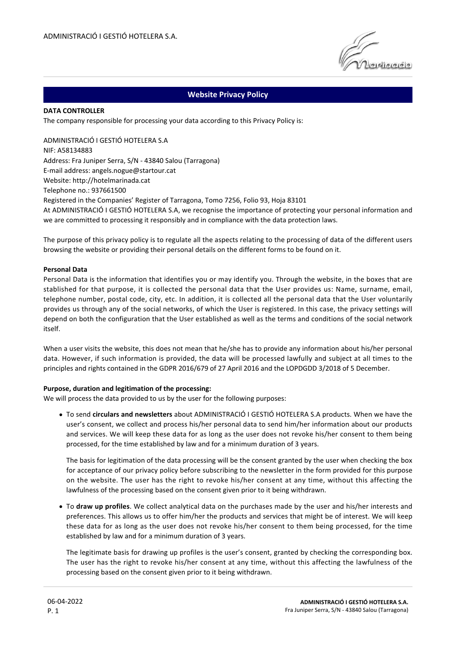# **Website Privacy Policy**

#### **DATA CONTROLLER**

The company responsible for processing your data according to this Privacy Policy is:

ADMINISTRACIÓ I GESTIÓ HOTELERA S.A NIF: A58134883 Address: Fra Juniper Serra, S/N - 43840 Salou (Tarragona) E-mail address: angels.nogue@startour.cat Website: http://hotelmarinada.cat Telephone no.: 937661500 Registered in the Companies' Register of Tarragona, Tomo 7256, Folio 93, Hoja 83101 At ADMINISTRACIÓ I GESTIÓ HOTELERA S.A, we recognise the importance of protecting your personal information and we are committed to processing it responsibly and in compliance with the data protection laws.

The purpose of this privacy policy is to regulate all the aspects relating to the processing of data of the different users browsing the website or providing their personal details on the different forms to be found on it.

#### **Personal Data**

Personal Data is the information that identifies you or may identify you. Through the website, in the boxes that are stablished for that purpose, it is collected the personal data that the User provides us: Name, surname, email, telephone number, postal code, city, etc. In addition, it is collected all the personal data that the User voluntarily provides us through any of the social networks, of which the User is registered. In this case, the privacy settings will depend on both the configuration that the User established as well as the terms and conditions of the social network itself.

When a user visits the website, this does not mean that he/she has to provide any information about his/her personal data. However, if such information is provided, the data will be processed lawfully and subject at all times to the principles and rights contained in the GDPR 2016/679 of 27 April 2016 and the LOPDGDD 3/2018 of 5 December.

#### **Purpose, duration and legitimation of the processing:**

We will process the data provided to us by the user for the following purposes:

To send **circulars and newsletters** about ADMINISTRACIÓ I GESTIÓ HOTELERA S.A products. When we have the user's consent, we collect and process his/her personal data to send him/her information about our products and services. We will keep these data for as long as the user does not revoke his/her consent to them being processed, for the time established by law and for a minimum duration of 3 years.

The basis for legitimation of the data processing will be the consent granted by the user when checking the box for acceptance of our privacy policy before subscribing to the newsletter in the form provided for this purpose on the website. The user has the right to revoke his/her consent at any time, without this affecting the lawfulness of the processing based on the consent given prior to it being withdrawn.

To **draw up profiles**. We collect analytical data on the purchases made by the user and his/her interests and preferences. This allows us to offer him/her the products and services that might be of interest. We will keep these data for as long as the user does not revoke his/her consent to them being processed, for the time established by law and for a minimum duration of 3 years.

The legitimate basis for drawing up profiles is the user's consent, granted by checking the corresponding box. The user has the right to revoke his/her consent at any time, without this affecting the lawfulness of the processing based on the consent given prior to it being withdrawn.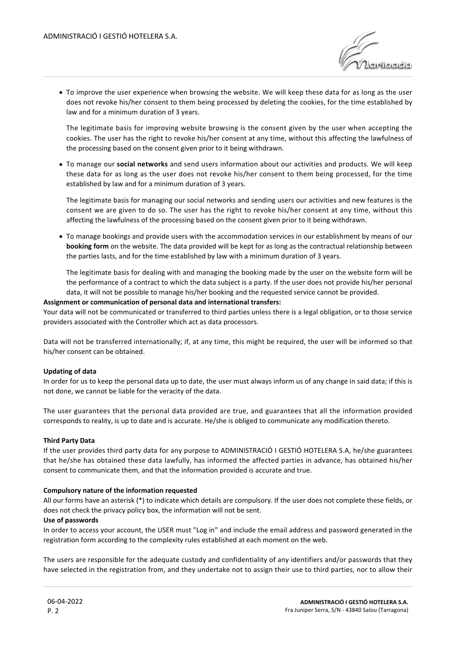

To improve the user experience when browsing the website. We will keep these data for as long as the user does not revoke his/her consent to them being processed by deleting the cookies, for the time established by law and for a minimum duration of 3 years.

The legitimate basis for improving website browsing is the consent given by the user when accepting the cookies. The user has the right to revoke his/her consent at any time, without this affecting the lawfulness of the processing based on the consent given prior to it being withdrawn.

To manage our **social networks** and send users information about our activities and products. We will keep these data for as long as the user does not revoke his/her consent to them being processed, for the time established by law and for a minimum duration of 3 years.

The legitimate basis for managing our social networks and sending users our activities and new features is the consent we are given to do so. The user has the right to revoke his/her consent at any time, without this affecting the lawfulness of the processing based on the consent given prior to it being withdrawn.

To manage bookings and provide users with the accommodation services in our establishment by means of our **booking form** on the website. The data provided will be kept for as long as the contractual relationship between the parties lasts, and for the time established by law with a minimum duration of 3 years.

The legitimate basis for dealing with and managing the booking made by the user on the website form will be the performance of a contract to which the data subject is a party. If the user does not provide his/her personal data, it will not be possible to manage his/her booking and the requested service cannot be provided.

# **Assignment or communication of personal data and international transfers:**

Your data will not be communicated or transferred to third parties unless there is a legal obligation, or to those service providers associated with the Controller which act as data processors.

Data will not be transferred internationally; if, at any time, this might be required, the user will be informed so that his/her consent can be obtained.

### **Updating of data**

In order for us to keep the personal data up to date, the user must always inform us of any change in said data; if this is not done, we cannot be liable for the veracity of the data.

The user guarantees that the personal data provided are true, and guarantees that all the information provided corresponds to reality, is up to date and is accurate. He/she is obliged to communicate any modification thereto.

### **Third Party Data**

If the user provides third party data for any purpose to ADMINISTRACIÓ I GESTIÓ HOTELERA S.A, he/she guarantees that he/she has obtained these data lawfully, has informed the affected parties in advance, has obtained his/her consent to communicate them, and that the information provided is accurate and true.

# **Compulsory nature of the information requested**

All our forms have an asterisk (\*) to indicate which details are compulsory. If the user does not complete these fields, or does not check the privacy policy box, the information will not be sent.

### **Use of passwords**

In order to access your account, the USER must "Log in" and include the email address and password generated in the registration form according to the complexity rules established at each moment on the web.

The users are responsible for the adequate custody and confidentiality of any identifiers and/or passwords that they have selected in the registration from, and they undertake not to assign their use to third parties, nor to allow their